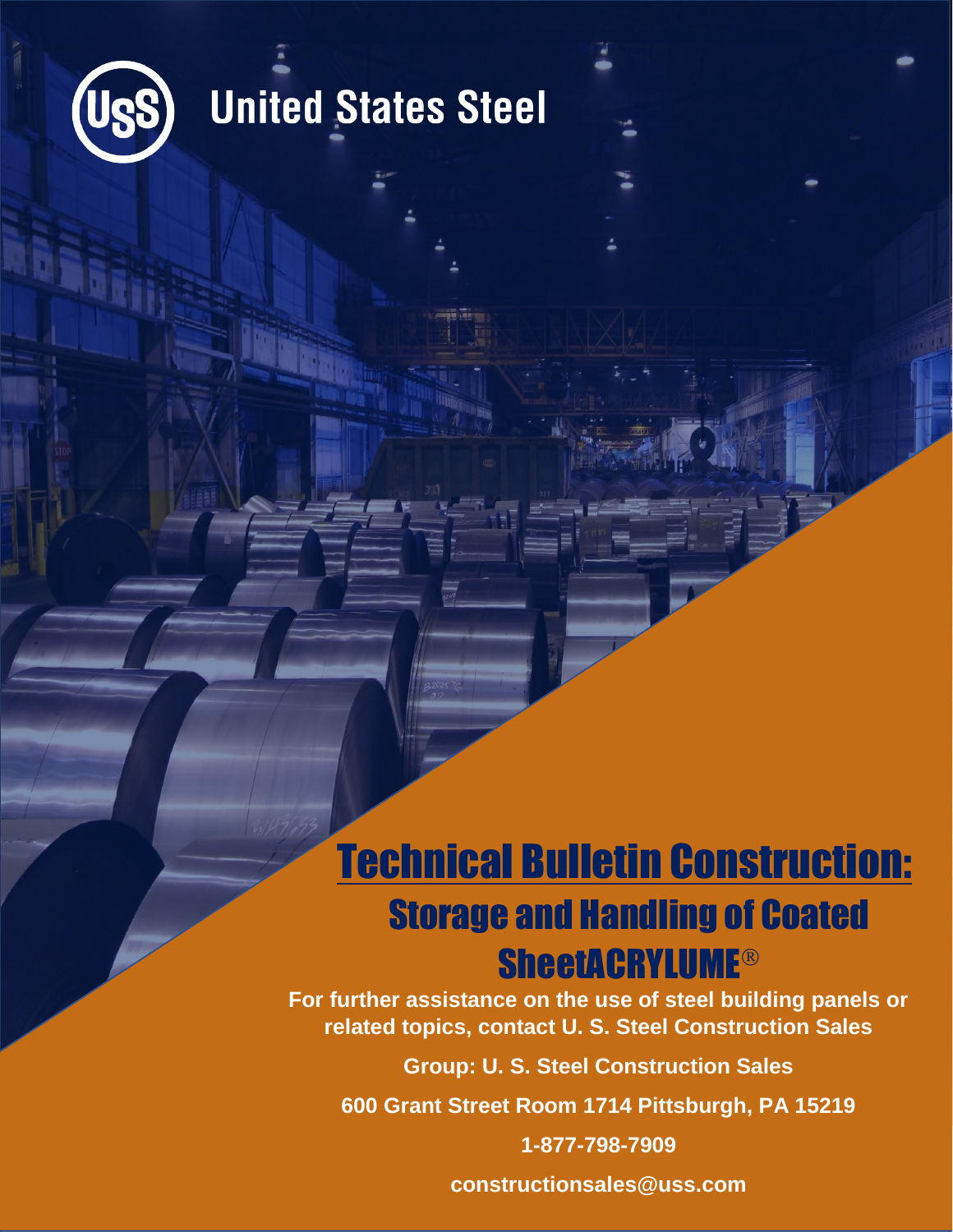

### **United States Steel**

### Technical Bulletin Construction: Storage and Handling of Coated **SheetACRYLUME®**

**For further assistance on the use of steel building panels or related topics, contact U. S. Steel Construction Sales**

**Group: U. S. Steel Construction Sales**

**600 Grant Street Room 1714 Pittsburgh, PA 15219**

**1-877-798-7909**

**constructionsales@uss.com**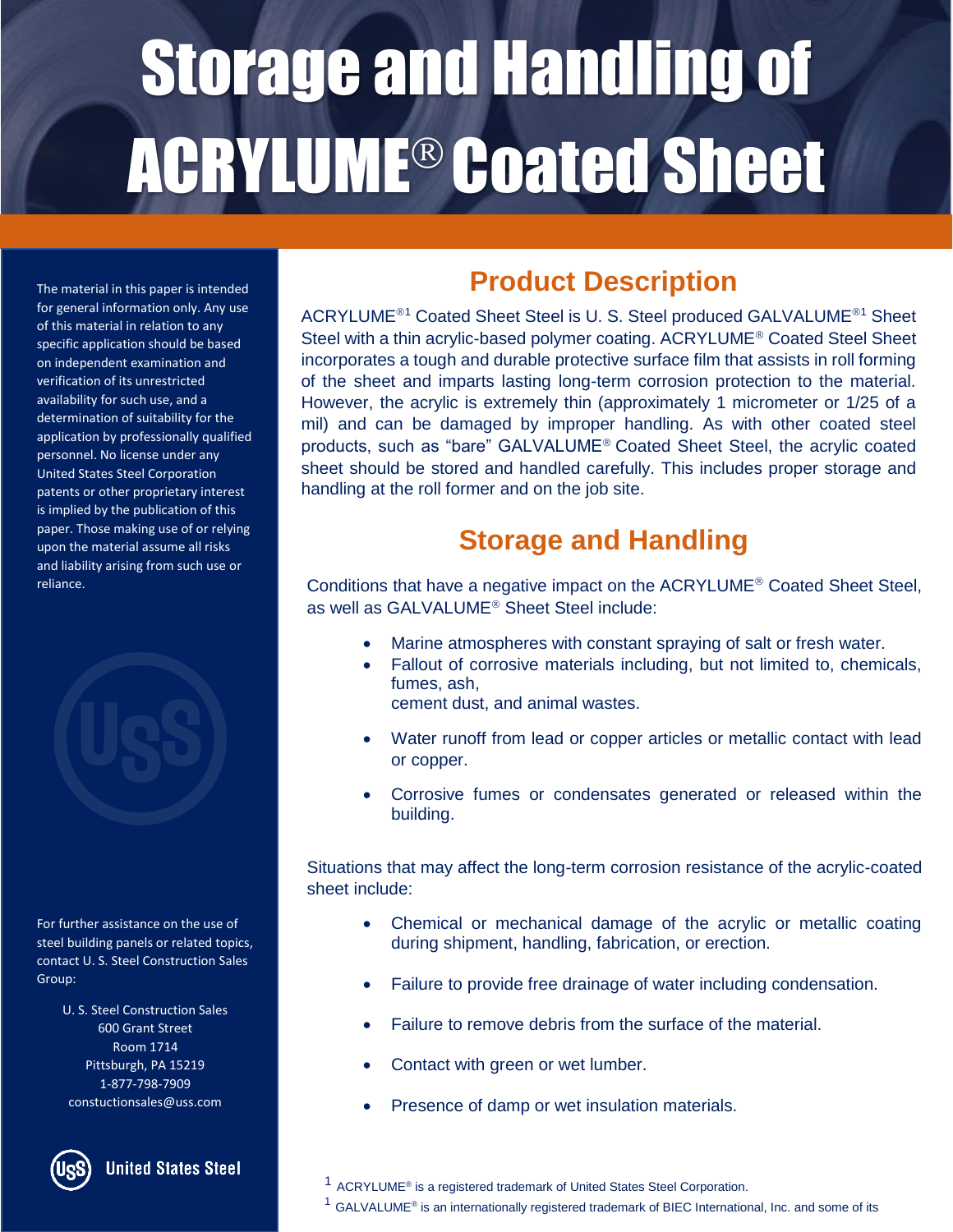# Storage and Handling of ACRYLUME® Coated Sheet

The material in this paper is intended for general information only. Any use of this material in relation to any specific application should be based on independent examination and verification of its unrestricted availability for such use, and a determination of suitability for the application by professionally qualified personnel. No license under any United States Steel Corporation patents or other proprietary interest is implied by the publication of this paper. Those making use of or relying upon the material assume all risks and liability arising from such use or reliance.



For further assistance on the use of steel building panels or related topics, contact U. S. Steel Construction Sales Group:

> U. S. Steel Construction Sales 600 Grant Street Room 1714 Pittsburgh, PA 15219 1-877-798-7909 constuctionsales@uss.com



**United States Steel** 

#### **Product Description**

ACRYLUME<sup>®1</sup> Coated Sheet Steel is U. S. Steel produced GALVALUME<sup>®1</sup> Sheet Steel with a thin acrylic-based polymer coating. ACRYLUME<sup>®</sup> Coated Steel Sheet incorporates a tough and durable protective surface film that assists in roll forming of the sheet and imparts lasting long-term corrosion protection to the material. However, the acrylic is extremely thin (approximately 1 micrometer or 1/25 of a mil) and can be damaged by improper handling. As with other coated steel products, such as "bare" GALVALUME<sup>®</sup> Coated Sheet Steel, the acrylic coated sheet should be stored and handled carefully. This includes proper storage and handling at the roll former and on the job site.

#### **Storage and Handling**

Conditions that have a negative impact on the ACRYLUME<sup>®</sup> Coated Sheet Steel, as well as GALVALUME<sup>®</sup> Sheet Steel include:

- Marine atmospheres with constant spraying of salt or fresh water.
- Fallout of corrosive materials including, but not limited to, chemicals, fumes, ash,
	- cement dust, and animal wastes.
- Water runoff from lead or copper articles or metallic contact with lead or copper.
- Corrosive fumes or condensates generated or released within the building.

Situations that may affect the long-term corrosion resistance of the acrylic-coated sheet include:

- Chemical or mechanical damage of the acrylic or metallic coating during shipment, handling, fabrication, or erection.
- Failure to provide free drainage of water including condensation.
- Failure to remove debris from the surface of the material.
- Contact with green or wet lumber.
- Presence of damp or wet insulation materials.
- $1$  ACRYLUME<sup>®</sup> is a registered trademark of United States Steel Corporation.

 $1$  GALVALUME® is an internationally registered trademark of BIEC International, Inc. and some of its